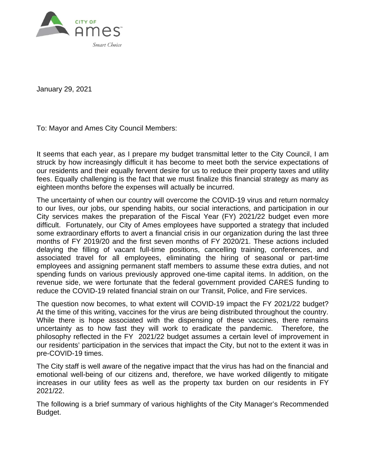

January 29, 2021

To: Mayor and Ames City Council Members:

It seems that each year, as I prepare my budget transmittal letter to the City Council, I am struck by how increasingly difficult it has become to meet both the service expectations of our residents and their equally fervent desire for us to reduce their property taxes and utility fees. Equally challenging is the fact that we must finalize this financial strategy as many as eighteen months before the expenses will actually be incurred.

The uncertainty of when our country will overcome the COVID-19 virus and return normalcy to our lives, our jobs, our spending habits, our social interactions, and participation in our City services makes the preparation of the Fiscal Year (FY) 2021/22 budget even more difficult. Fortunately, our City of Ames employees have supported a strategy that included some extraordinary efforts to avert a financial crisis in our organization during the last three months of FY 2019/20 and the first seven months of FY 2020/21. These actions included delaying the filling of vacant full-time positions, cancelling training, conferences, and associated travel for all employees, eliminating the hiring of seasonal or part-time employees and assigning permanent staff members to assume these extra duties, and not spending funds on various previously approved one-time capital items. In addition, on the revenue side, we were fortunate that the federal government provided CARES funding to reduce the COVID-19 related financial strain on our Transit, Police, and Fire services.

The question now becomes, to what extent will COVID-19 impact the FY 2021/22 budget? At the time of this writing, vaccines for the virus are being distributed throughout the country. While there is hope associated with the dispensing of these vaccines, there remains uncertainty as to how fast they will work to eradicate the pandemic. Therefore, the philosophy reflected in the FY 2021/22 budget assumes a certain level of improvement in our residents' participation in the services that impact the City, but not to the extent it was in pre-COVID-19 times.

The City staff is well aware of the negative impact that the virus has had on the financial and emotional well-being of our citizens and, therefore, we have worked diligently to mitigate increases in our utility fees as well as the property tax burden on our residents in FY 2021/22.

The following is a brief summary of various highlights of the City Manager's Recommended Budget.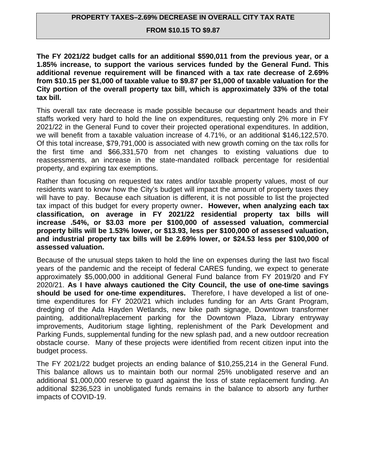#### **PROPERTY TAXES–2.69% DECREASE IN OVERALL CITY TAX RATE**

#### **FROM \$10.15 TO \$9.87**

**The FY 2021/22 budget calls for an additional \$590,011 from the previous year, or a 1.85% increase, to support the various services funded by the General Fund. This additional revenue requirement will be financed with a tax rate decrease of 2.69% from \$10.15 per \$1,000 of taxable value to \$9.87 per \$1,000 of taxable valuation for the City portion of the overall property tax bill, which is approximately 33% of the total tax bill.**

This overall tax rate decrease is made possible because our department heads and their staffs worked very hard to hold the line on expenditures, requesting only 2% more in FY 2021/22 in the General Fund to cover their projected operational expenditures. In addition, we will benefit from a taxable valuation increase of 4.71%, or an additional \$146,122,570. Of this total increase, \$79,791,000 is associated with new growth coming on the tax rolls for the first time and \$66,331,570 from net changes to existing valuations due to reassessments, an increase in the state-mandated rollback percentage for residential property, and expiring tax exemptions.

Rather than focusing on requested tax rates and/or taxable property values, most of our residents want to know how the City's budget will impact the amount of property taxes they will have to pay. Because each situation is different, it is not possible to list the projected tax impact of this budget for every property owner**. However, when analyzing each tax classification, on average in FY 2021/22 residential property tax bills will increase .54%, or \$3.03 more per \$100,000 of assessed valuation, commercial property bills will be 1.53% lower, or \$13.93, less per \$100,000 of assessed valuation, and industrial property tax bills will be 2.69% lower, or \$24.53 less per \$100,000 of assessed valuation.**

Because of the unusual steps taken to hold the line on expenses during the last two fiscal years of the pandemic and the receipt of federal CARES funding, we expect to generate approximately \$5,000,000 in additional General Fund balance from FY 2019/20 and FY 2020/21. **As I have always cautioned the City Council, the use of one-time savings should be used for one-time expenditures.** Therefore, I have developed a list of onetime expenditures for FY 2020/21 which includes funding for an Arts Grant Program, dredging of the Ada Hayden Wetlands, new bike path signage, Downtown transformer painting, additional/replacement parking for the Downtown Plaza, Library entryway improvements, Auditorium stage lighting, replenishment of the Park Development and Parking Funds, supplemental funding for the new splash pad, and a new outdoor recreation obstacle course. Many of these projects were identified from recent citizen input into the budget process.

The FY 2021/22 budget projects an ending balance of \$10,255,214 in the General Fund. This balance allows us to maintain both our normal 25% unobligated reserve and an additional \$1,000,000 reserve to guard against the loss of state replacement funding. An additional \$236,523 in unobligated funds remains in the balance to absorb any further impacts of COVID-19.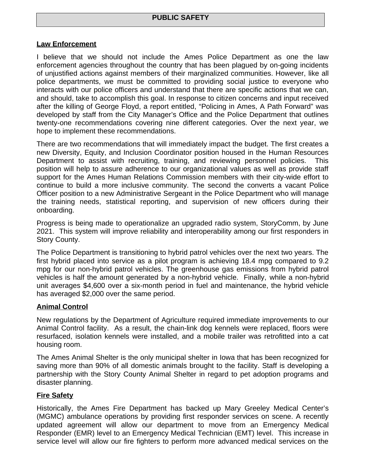## **Law Enforcement**

I believe that we should not include the Ames Police Department as one the law enforcement agencies throughout the country that has been plagued by on-going incidents of unjustified actions against members of their marginalized communities. However, like all police departments, we must be committed to providing social justice to everyone who interacts with our police officers and understand that there are specific actions that we can, and should, take to accomplish this goal. In response to citizen concerns and input received after the killing of George Floyd, a report entitled, "Policing in Ames, A Path Forward" was developed by staff from the City Manager's Office and the Police Department that outlines twenty-one recommendations covering nine different categories. Over the next year, we hope to implement these recommendations.

There are two recommendations that will immediately impact the budget. The first creates a new Diversity, Equity, and Inclusion Coordinator position housed in the Human Resources Department to assist with recruiting, training, and reviewing personnel policies. This position will help to assure adherence to our organizational values as well as provide staff support for the Ames Human Relations Commission members with their city-wide effort to continue to build a more inclusive community. The second the converts a vacant Police Officer position to a new Administrative Sergeant in the Police Department who will manage the training needs, statistical reporting, and supervision of new officers during their onboarding.

Progress is being made to operationalize an upgraded radio system, StoryComm, by June 2021. This system will improve reliability and interoperability among our first responders in Story County.

The Police Department is transitioning to hybrid patrol vehicles over the next two years. The first hybrid placed into service as a pilot program is achieving 18.4 mpg compared to 9.2 mpg for our non-hybrid patrol vehicles. The greenhouse gas emissions from hybrid patrol vehicles is half the amount generated by a non-hybrid vehicle. Finally, while a non-hybrid unit averages \$4,600 over a six-month period in fuel and maintenance, the hybrid vehicle has averaged \$2,000 over the same period.

# **Animal Control**

New regulations by the Department of Agriculture required immediate improvements to our Animal Control facility. As a result, the chain-link dog kennels were replaced, floors were resurfaced, isolation kennels were installed, and a mobile trailer was retrofitted into a cat housing room.

The Ames Animal Shelter is the only municipal shelter in Iowa that has been recognized for saving more than 90% of all domestic animals brought to the facility. Staff is developing a partnership with the Story County Animal Shelter in regard to pet adoption programs and disaster planning.

#### **Fire Safety**

Historically, the Ames Fire Department has backed up Mary Greeley Medical Center's (MGMC) ambulance operations by providing first responder services on scene. A recently updated agreement will allow our department to move from an Emergency Medical Responder (EMR) level to an Emergency Medical Technician (EMT) level. This increase in service level will allow our fire fighters to perform more advanced medical services on the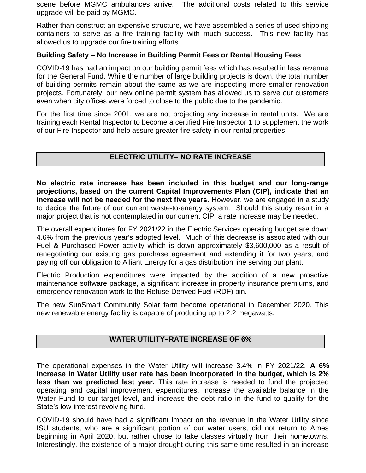scene before MGMC ambulances arrive. The additional costs related to this service upgrade will be paid by MGMC.

Rather than construct an expensive structure, we have assembled a series of used shipping containers to serve as a fire training facility with much success. This new facility has allowed us to upgrade our fire training efforts.

## **Building Safety** – **No Increase in Building Permit Fees or Rental Housing Fees**

COVID-19 has had an impact on our building permit fees which has resulted in less revenue for the General Fund. While the number of large building projects is down, the total number of building permits remain about the same as we are inspecting more smaller renovation projects. Fortunately, our new online permit system has allowed us to serve our customers even when city offices were forced to close to the public due to the pandemic.

For the first time since 2001, we are not projecting any increase in rental units. We are training each Rental Inspector to become a certified Fire Inspector 1 to supplement the work of our Fire Inspector and help assure greater fire safety in our rental properties.

## **ELECTRIC UTILITY– NO RATE INCREASE**

**No electric rate increase has been included in this budget and our long-range projections, based on the current Capital Improvements Plan (CIP), indicate that an increase will not be needed for the next five years.** However, we are engaged in a study to decide the future of our current waste-to-energy system. Should this study result in a major project that is not contemplated in our current CIP, a rate increase may be needed.

The overall expenditures for FY 2021/22 in the Electric Services operating budget are down 4.6% from the previous year's adopted level. Much of this decrease is associated with our Fuel & Purchased Power activity which is down approximately \$3,600,000 as a result of renegotiating our existing gas purchase agreement and extending it for two years, and paying off our obligation to Alliant Energy for a gas distribution line serving our plant.

Electric Production expenditures were impacted by the addition of a new proactive maintenance software package, a significant increase in property insurance premiums, and emergency renovation work to the Refuse Derived Fuel (RDF) bin.

The new SunSmart Community Solar farm become operational in December 2020. This new renewable energy facility is capable of producing up to 2.2 megawatts.

#### **WATER UTILITY–RATE INCREASE OF 6%**

The operational expenses in the Water Utility will increase 3.4% in FY 2021/22. **A 6% increase in Water Utility user rate has been incorporated in the budget, which is 2% less than we predicted last year.** This rate increase is needed to fund the projected operating and capital improvement expenditures, increase the available balance in the Water Fund to our target level, and increase the debt ratio in the fund to qualify for the State's low-interest revolving fund.

COVID-19 should have had a significant impact on the revenue in the Water Utility since ISU students, who are a significant portion of our water users, did not return to Ames beginning in April 2020, but rather chose to take classes virtually from their hometowns. Interestingly, the existence of a major drought during this same time resulted in an increase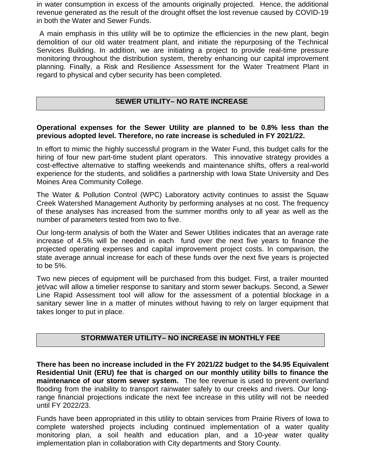in water consumption in excess of the amounts originally projected. Hence, the additional revenue generated as the result of the drought offset the lost revenue caused by COVID-19 in both the Water and Sewer Funds.

 A main emphasis in this utility will be to optimize the efficiencies in the new plant, begin demolition of our old water treatment plant, and initiate the repurposing of the Technical Services Building. In addition, we are initiating a project to provide real-time pressure monitoring throughout the distribution system, thereby enhancing our capital improvement planning. Finally, a Risk and Resilience Assessment for the Water Treatment Plant in regard to physical and cyber security has been completed.

# **SEWER UTILITY– NO RATE INCREASE**

## **Operational expenses for the Sewer Utility are planned to be 0.8% less than the previous adopted level. Therefore, no rate increase is scheduled in FY 2021/22.**

In effort to mimic the highly successful program in the Water Fund, this budget calls for the hiring of four new part-time student plant operators. This innovative strategy provides a cost-effective alternative to staffing weekends and maintenance shifts, offers a real-world experience for the students, and solidifies a partnership with Iowa State University and Des Moines Area Community College.

The Water & Pollution Control (WPC) Laboratory activity continues to assist the Squaw Creek Watershed Management Authority by performing analyses at no cost. The frequency of these analyses has increased from the summer months only to all year as well as the number of parameters tested from two to five.

Our long-term analysis of both the Water and Sewer Utilities indicates that an average rate increase of 4.5% will be needed in each fund over the next five years to finance the projected operating expenses and capital improvement project costs. In comparison, the state average annual increase for each of these funds over the next five years is projected to be 5%.

Two new pieces of equipment will be purchased from this budget. First, a trailer mounted jet/vac will allow a timelier response to sanitary and storm sewer backups. Second, a Sewer Line Rapid Assessment tool will allow for the assessment of a potential blockage in a sanitary sewer line in a matter of minutes without having to rely on larger equipment that takes longer to put in place.

# **STORMWATER UTILITY– NO INCREASE IN MONTHLY FEE**

**There has been no increase included in the FY 2021/22 budget to the \$4.95 Equivalent Residential Unit (ERU) fee that is charged on our monthly utility bills to finance the maintenance of our storm sewer system.** The fee revenue is used to prevent overland flooding from the inability to transport rainwater safely to our creeks and rivers. Our longrange financial projections indicate the next fee increase in this utility will not be needed until FY 2022/23.

Funds have been appropriated in this utility to obtain services from Prairie Rivers of Iowa to complete watershed projects including continued implementation of a water quality monitoring plan, a soil health and education plan, and a 10-year water quality implementation plan in collaboration with City departments and Story County.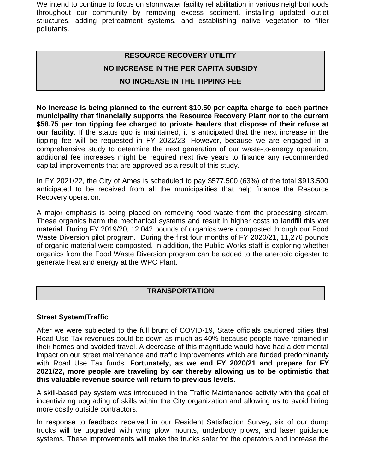We intend to continue to focus on stormwater facility rehabilitation in various neighborhoods throughout our community by removing excess sediment, installing updated outlet structures, adding pretreatment systems, and establishing native vegetation to filter pollutants.

# **RESOURCE RECOVERY UTILITY**

## **NO INCREASE IN THE PER CAPITA SUBSIDY**

# **NO INCREASE IN THE TIPPING FEE**

**No increase is being planned to the current \$10.50 per capita charge to each partner municipality that financially supports the Resource Recovery Plant nor to the current \$58.75 per ton tipping fee charged to private haulers that dispose of their refuse at our facility**. If the status quo is maintained, it is anticipated that the next increase in the tipping fee will be requested in FY 2022/23. However, because we are engaged in a comprehensive study to determine the next generation of our waste-to-energy operation, additional fee increases might be required next five years to finance any recommended capital improvements that are approved as a result of this study.

In FY 2021/22, the City of Ames is scheduled to pay \$577,500 (63%) of the total \$913.500 anticipated to be received from all the municipalities that help finance the Resource Recovery operation.

A major emphasis is being placed on removing food waste from the processing stream. These organics harm the mechanical systems and result in higher costs to landfill this wet material. During FY 2019/20, 12,042 pounds of organics were composted through our Food Waste Diversion pilot program. During the first four months of FY 2020/21, 11,276 pounds of organic material were composted. In addition, the Public Works staff is exploring whether organics from the Food Waste Diversion program can be added to the anerobic digester to generate heat and energy at the WPC Plant.

#### **TRANSPORTATION**

#### **Street System/Traffic**

After we were subjected to the full brunt of COVID-19, State officials cautioned cities that Road Use Tax revenues could be down as much as 40% because people have remained in their homes and avoided travel. A decrease of this magnitude would have had a detrimental impact on our street maintenance and traffic improvements which are funded predominantly with Road Use Tax funds. **Fortunately, as we end FY 2020/21 and prepare for FY 2021/22, more people are traveling by car thereby allowing us to be optimistic that this valuable revenue source will return to previous levels.**

A skill-based pay system was introduced in the Traffic Maintenance activity with the goal of incentivizing upgrading of skills within the City organization and allowing us to avoid hiring more costly outside contractors.

In response to feedback received in our Resident Satisfaction Survey, six of our dump trucks will be upgraded with wing plow mounts, underbody plows, and laser guidance systems. These improvements will make the trucks safer for the operators and increase the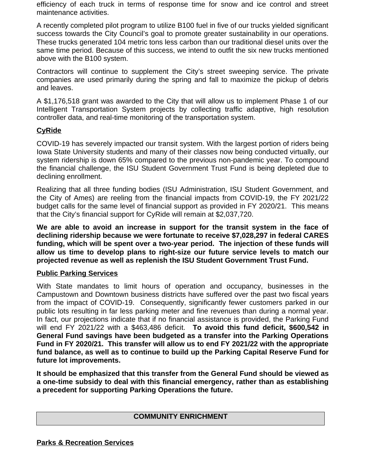efficiency of each truck in terms of response time for snow and ice control and street maintenance activities.

A recently completed pilot program to utilize B100 fuel in five of our trucks yielded significant success towards the City Council's goal to promote greater sustainability in our operations. These trucks generated 104 metric tons less carbon than our traditional diesel units over the same time period. Because of this success, we intend to outfit the six new trucks mentioned above with the B100 system.

Contractors will continue to supplement the City's street sweeping service. The private companies are used primarily during the spring and fall to maximize the pickup of debris and leaves.

A \$1,176,518 grant was awarded to the City that will allow us to implement Phase 1 of our Intelligent Transportation System projects by collecting traffic adaptive, high resolution controller data, and real-time monitoring of the transportation system.

# **CyRide**

COVID-19 has severely impacted our transit system. With the largest portion of riders being Iowa State University students and many of their classes now being conducted virtually, our system ridership is down 65% compared to the previous non-pandemic year. To compound the financial challenge, the ISU Student Government Trust Fund is being depleted due to declining enrollment.

Realizing that all three funding bodies (ISU Administration, ISU Student Government, and the City of Ames) are reeling from the financial impacts from COVID-19, the FY 2021/22 budget calls for the same level of financial support as provided in FY 2020/21. This means that the City's financial support for CyRide will remain at \$2,037,720.

**We are able to avoid an increase in support for the transit system in the face of declining ridership because we were fortunate to receive \$7,028,297 in federal CARES funding, which will be spent over a two-year period. The injection of these funds will allow us time to develop plans to right-size our future service levels to match our projected revenue as well as replenish the ISU Student Government Trust Fund.**

# **Public Parking Services**

With State mandates to limit hours of operation and occupancy, businesses in the Campustown and Downtown business districts have suffered over the past two fiscal years from the impact of COVID-19. Consequently, significantly fewer customers parked in our public lots resulting in far less parking meter and fine revenues than during a normal year. In fact, our projections indicate that if no financial assistance is provided, the Parking Fund will end FY 2021/22 with a \$463,486 deficit. **To avoid this fund deficit, \$600,542 in General Fund savings have been budgeted as a transfer into the Parking Operations Fund in FY 2020/21. This transfer will allow us to end FY 2021/22 with the appropriate fund balance, as well as to continue to build up the Parking Capital Reserve Fund for future lot improvements.** 

**It should be emphasized that this transfer from the General Fund should be viewed as a one-time subsidy to deal with this financial emergency, rather than as establishing a precedent for supporting Parking Operations the future.** 

# **COMMUNITY ENRICHMENT**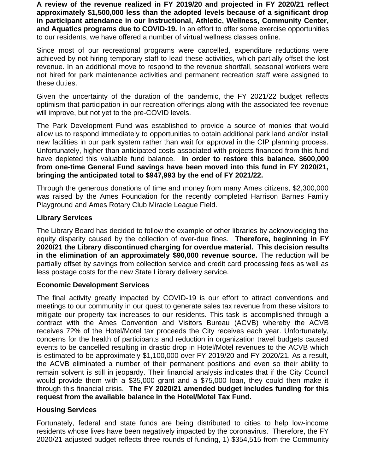**A review of the revenue realized in FY 2019/20 and projected in FY 2020/21 reflect approximately \$1,500,000 less than the adopted levels because of a significant drop in participant attendance in our Instructional, Athletic, Wellness, Community Center, and Aquatics programs due to COVID-19.** In an effort to offer some exercise opportunities to our residents, we have offered a number of virtual wellness classes online.

Since most of our recreational programs were cancelled, expenditure reductions were achieved by not hiring temporary staff to lead these activities, which partially offset the lost revenue. In an additional move to respond to the revenue shortfall, seasonal workers were not hired for park maintenance activities and permanent recreation staff were assigned to these duties.

Given the uncertainty of the duration of the pandemic, the FY 2021/22 budget reflects optimism that participation in our recreation offerings along with the associated fee revenue will improve, but not yet to the pre-COVID levels.

The Park Development Fund was established to provide a source of monies that would allow us to respond immediately to opportunities to obtain additional park land and/or install new facilities in our park system rather than wait for approval in the CIP planning process. Unfortunately, higher than anticipated costs associated with projects financed from this fund have depleted this valuable fund balance. **In order to restore this balance, \$600,000 from one-time General Fund savings have been moved into this fund in FY 2020/21, bringing the anticipated total to \$947,993 by the end of FY 2021/22.**

Through the generous donations of time and money from many Ames citizens, \$2,300,000 was raised by the Ames Foundation for the recently completed Harrison Barnes Family Playground and Ames Rotary Club Miracle League Field.

## **Library Services**

The Library Board has decided to follow the example of other libraries by acknowledging the equity disparity caused by the collection of over-due fines. **Therefore, beginning in FY 2020/21 the Library discontinued charging for overdue material. This decision results in the elimination of an approximately \$90,000 revenue source.** The reduction will be partially offset by savings from collection service and credit card processing fees as well as less postage costs for the new State Library delivery service.

#### **Economic Development Services**

The final activity greatly impacted by COVID-19 is our effort to attract conventions and meetings to our community in our quest to generate sales tax revenue from these visitors to mitigate our property tax increases to our residents. This task is accomplished through a contract with the Ames Convention and Visitors Bureau (ACVB) whereby the ACVB receives 72% of the Hotel/Motel tax proceeds the City receives each year. Unfortunately, concerns for the health of participants and reduction in organization travel budgets caused events to be cancelled resulting in drastic drop in Hotel/Motel revenues to the ACVB which is estimated to be approximately \$1,100,000 over FY 2019/20 and FY 2020/21. As a result, the ACVB eliminated a number of their permanent positions and even so their ability to remain solvent is still in jeopardy. Their financial analysis indicates that if the City Council would provide them with a \$35,000 grant and a \$75,000 loan, they could then make it through this financial crisis. **The FY 2020/21 amended budget includes funding for this request from the available balance in the Hotel/Motel Tax Fund.**

# **Housing Services**

Fortunately, federal and state funds are being distributed to cities to help low-income residents whose lives have been negatively impacted by the coronavirus. Therefore, the FY 2020/21 adjusted budget reflects three rounds of funding, 1) \$354,515 from the Community